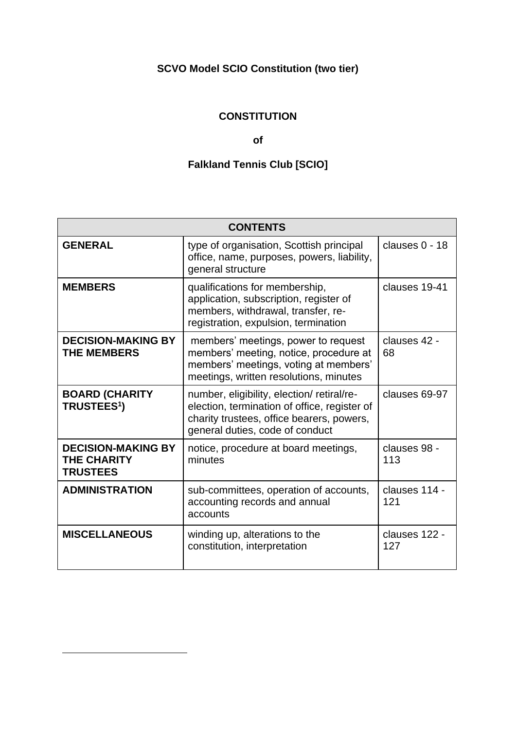# **SCVO Model SCIO Constitution (two tier)**

# **CONSTITUTION**

# **of**

# **Falkland Tennis Club [SCIO]**

| <b>CONTENTS</b>                                                    |                                                                                                                                                                           |                      |
|--------------------------------------------------------------------|---------------------------------------------------------------------------------------------------------------------------------------------------------------------------|----------------------|
| <b>GENERAL</b>                                                     | type of organisation, Scottish principal<br>office, name, purposes, powers, liability,<br>general structure                                                               | clauses $0 - 18$     |
| <b>MEMBERS</b>                                                     | qualifications for membership,<br>application, subscription, register of<br>members, withdrawal, transfer, re-<br>registration, expulsion, termination                    | clauses 19-41        |
| <b>DECISION-MAKING BY</b><br><b>THE MEMBERS</b>                    | members' meetings, power to request<br>members' meeting, notice, procedure at<br>members' meetings, voting at members'<br>meetings, written resolutions, minutes          | clauses 42 -<br>68   |
| <b>BOARD (CHARITY</b><br>TRUSTEES <sup>1</sup> )                   | number, eligibility, election/retiral/re-<br>election, termination of office, register of<br>charity trustees, office bearers, powers,<br>general duties, code of conduct | clauses 69-97        |
| <b>DECISION-MAKING BY</b><br><b>THE CHARITY</b><br><b>TRUSTEES</b> | notice, procedure at board meetings,<br>minutes                                                                                                                           | clauses 98 -<br>113  |
| <b>ADMINISTRATION</b>                                              | sub-committees, operation of accounts,<br>accounting records and annual<br>accounts                                                                                       | clauses 114 -<br>121 |
| <b>MISCELLANEOUS</b>                                               | winding up, alterations to the<br>constitution, interpretation                                                                                                            | clauses 122 -<br>127 |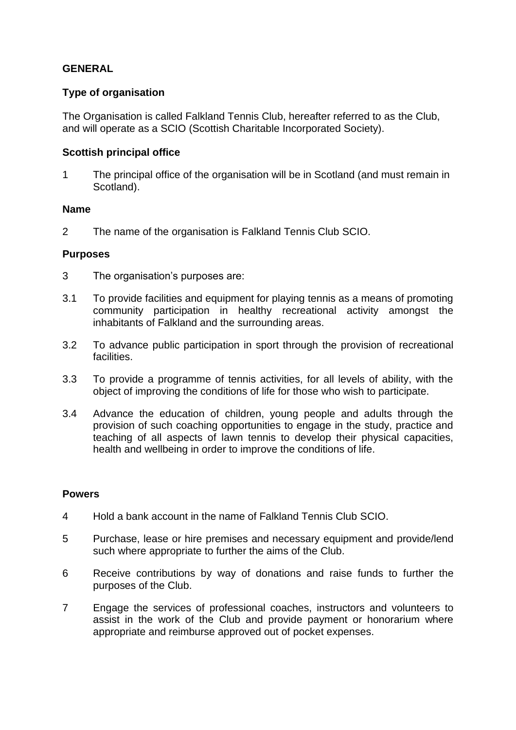# **GENERAL**

## **Type of organisation**

The Organisation is called Falkland Tennis Club, hereafter referred to as the Club, and will operate as a SCIO (Scottish Charitable Incorporated Society).

#### **Scottish principal office**

1 The principal office of the organisation will be in Scotland (and must remain in Scotland).

#### **Name**

2 The name of the organisation is Falkland Tennis Club SCIO.

## **Purposes**

- 3 The organisation's purposes are:
- 3.1 To provide facilities and equipment for playing tennis as a means of promoting community participation in healthy recreational activity amongst the inhabitants of Falkland and the surrounding areas.
- 3.2 To advance public participation in sport through the provision of recreational facilities.
- 3.3 To provide a programme of tennis activities, for all levels of ability, with the object of improving the conditions of life for those who wish to participate.
- 3.4 Advance the education of children, young people and adults through the provision of such coaching opportunities to engage in the study, practice and teaching of all aspects of lawn tennis to develop their physical capacities, health and wellbeing in order to improve the conditions of life.

#### **Powers**

- 4 Hold a bank account in the name of Falkland Tennis Club SCIO.
- 5 Purchase, lease or hire premises and necessary equipment and provide/lend such where appropriate to further the aims of the Club.
- 6 Receive contributions by way of donations and raise funds to further the purposes of the Club.
- 7 Engage the services of professional coaches, instructors and volunteers to assist in the work of the Club and provide payment or honorarium where appropriate and reimburse approved out of pocket expenses.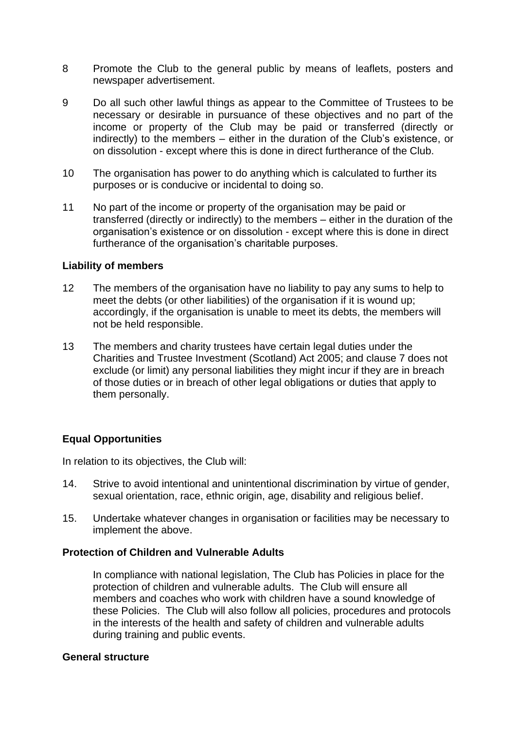- 8 Promote the Club to the general public by means of leaflets, posters and newspaper advertisement.
- 9 Do all such other lawful things as appear to the Committee of Trustees to be necessary or desirable in pursuance of these objectives and no part of the income or property of the Club may be paid or transferred (directly or indirectly) to the members – either in the duration of the Club's existence, or on dissolution - except where this is done in direct furtherance of the Club.
- 10 The organisation has power to do anything which is calculated to further its purposes or is conducive or incidental to doing so.
- 11 No part of the income or property of the organisation may be paid or transferred (directly or indirectly) to the members – either in the duration of the organisation's existence or on dissolution - except where this is done in direct furtherance of the organisation's charitable purposes.

#### **Liability of members**

- 12 The members of the organisation have no liability to pay any sums to help to meet the debts (or other liabilities) of the organisation if it is wound up: accordingly, if the organisation is unable to meet its debts, the members will not be held responsible.
- 13 The members and charity trustees have certain legal duties under the Charities and Trustee Investment (Scotland) Act 2005; and clause 7 does not exclude (or limit) any personal liabilities they might incur if they are in breach of those duties or in breach of other legal obligations or duties that apply to them personally.

# **Equal Opportunities**

In relation to its objectives, the Club will:

- 14. Strive to avoid intentional and unintentional discrimination by virtue of gender, sexual orientation, race, ethnic origin, age, disability and religious belief.
- 15. Undertake whatever changes in organisation or facilities may be necessary to implement the above.

## **Protection of Children and Vulnerable Adults**

In compliance with national legislation, The Club has Policies in place for the protection of children and vulnerable adults. The Club will ensure all members and coaches who work with children have a sound knowledge of these Policies. The Club will also follow all policies, procedures and protocols in the interests of the health and safety of children and vulnerable adults during training and public events.

#### **General structure**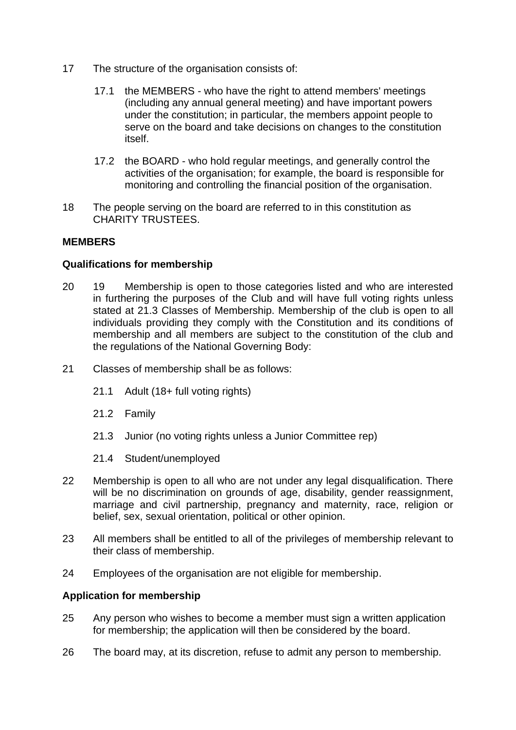- 17 The structure of the organisation consists of:
	- 17.1 the MEMBERS who have the right to attend members' meetings (including any annual general meeting) and have important powers under the constitution; in particular, the members appoint people to serve on the board and take decisions on changes to the constitution itself.
	- 17.2 the BOARD who hold regular meetings, and generally control the activities of the organisation; for example, the board is responsible for monitoring and controlling the financial position of the organisation.
- 18 The people serving on the board are referred to in this constitution as CHARITY TRUSTEES.

## **MEMBERS**

## **Qualifications for membership**

- 20 19 Membership is open to those categories listed and who are interested in furthering the purposes of the Club and will have full voting rights unless stated at 21.3 Classes of Membership. Membership of the club is open to all individuals providing they comply with the Constitution and its conditions of membership and all members are subject to the constitution of the club and the regulations of the National Governing Body:
- 21 Classes of membership shall be as follows:
	- 21.1 Adult (18+ full voting rights)
	- 21.2 Family
	- 21.3 Junior (no voting rights unless a Junior Committee rep)
	- 21.4 Student/unemployed
- 22 Membership is open to all who are not under any legal disqualification. There will be no discrimination on grounds of age, disability, gender reassignment, marriage and civil partnership, pregnancy and maternity, race, religion or belief, sex, sexual orientation, political or other opinion.
- 23 All members shall be entitled to all of the privileges of membership relevant to their class of membership.
- 24 Employees of the organisation are not eligible for membership.

## **Application for membership**

- 25 Any person who wishes to become a member must sign a written application for membership; the application will then be considered by the board.
- 26 The board may, at its discretion, refuse to admit any person to membership.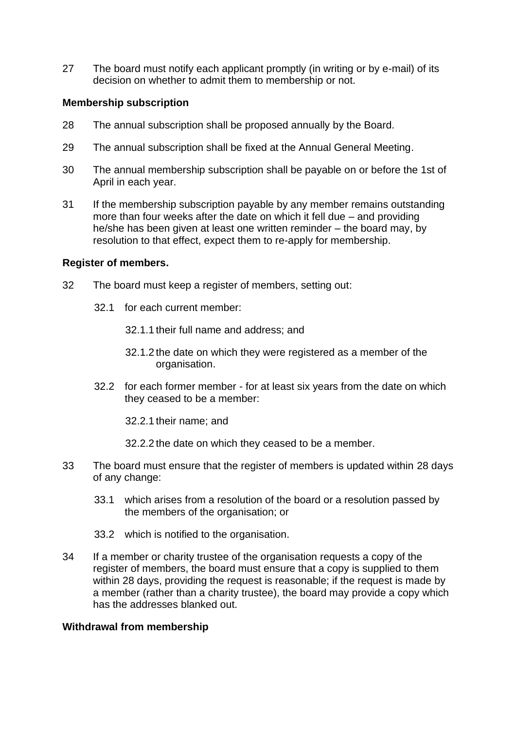27 The board must notify each applicant promptly (in writing or by e-mail) of its decision on whether to admit them to membership or not.

## **Membership subscription**

- 28 The annual subscription shall be proposed annually by the Board.
- 29 The annual subscription shall be fixed at the Annual General Meeting.
- 30 The annual membership subscription shall be payable on or before the 1st of April in each year.
- 31 If the membership subscription payable by any member remains outstanding more than four weeks after the date on which it fell due – and providing he/she has been given at least one written reminder – the board may, by resolution to that effect, expect them to re-apply for membership.

## **Register of members.**

- 32 The board must keep a register of members, setting out:
	- 32.1 for each current member:
		- 32.1.1 their full name and address; and
		- 32.1.2 the date on which they were registered as a member of the organisation.
	- 32.2 for each former member for at least six years from the date on which they ceased to be a member:
		- 32.2.1 their name; and
		- 32.2.2 the date on which they ceased to be a member.
- 33 The board must ensure that the register of members is updated within 28 days of any change:
	- 33.1 which arises from a resolution of the board or a resolution passed by the members of the organisation; or
	- 33.2 which is notified to the organisation.
- 34 If a member or charity trustee of the organisation requests a copy of the register of members, the board must ensure that a copy is supplied to them within 28 days, providing the request is reasonable; if the request is made by a member (rather than a charity trustee), the board may provide a copy which has the addresses blanked out.

## **Withdrawal from membership**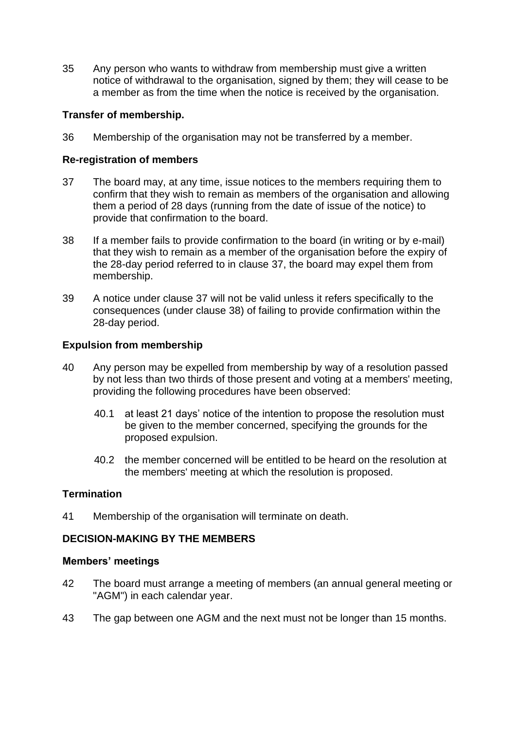35 Any person who wants to withdraw from membership must give a written notice of withdrawal to the organisation, signed by them; they will cease to be a member as from the time when the notice is received by the organisation.

# **Transfer of membership.**

36 Membership of the organisation may not be transferred by a member.

# **Re-registration of members**

- 37 The board may, at any time, issue notices to the members requiring them to confirm that they wish to remain as members of the organisation and allowing them a period of 28 days (running from the date of issue of the notice) to provide that confirmation to the board.
- 38 If a member fails to provide confirmation to the board (in writing or by e-mail) that they wish to remain as a member of the organisation before the expiry of the 28-day period referred to in clause 37, the board may expel them from membership.
- 39 A notice under clause 37 will not be valid unless it refers specifically to the consequences (under clause 38) of failing to provide confirmation within the 28-day period.

## **Expulsion from membership**

- 40 Any person may be expelled from membership by way of a resolution passed by not less than two thirds of those present and voting at a members' meeting, providing the following procedures have been observed:
	- 40.1 at least 21 days' notice of the intention to propose the resolution must be given to the member concerned, specifying the grounds for the proposed expulsion.
	- 40.2 the member concerned will be entitled to be heard on the resolution at the members' meeting at which the resolution is proposed.

# **Termination**

41 Membership of the organisation will terminate on death.

## **DECISION-MAKING BY THE MEMBERS**

## **Members' meetings**

- 42 The board must arrange a meeting of members (an annual general meeting or "AGM") in each calendar year.
- 43 The gap between one AGM and the next must not be longer than 15 months.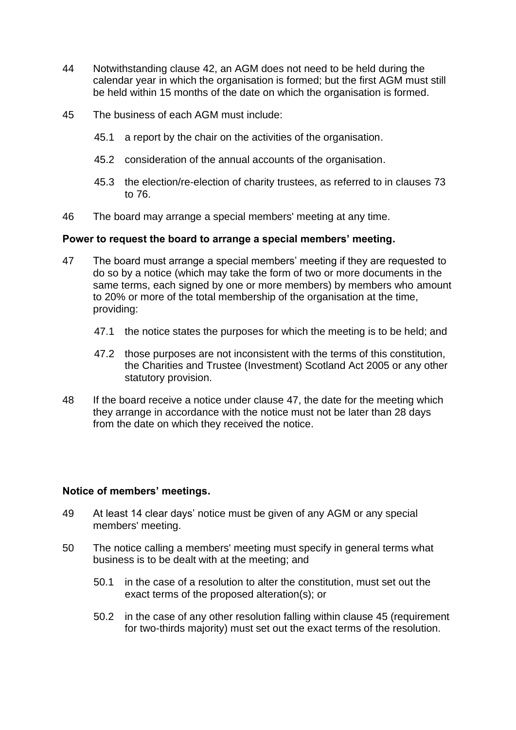- 44 Notwithstanding clause 42, an AGM does not need to be held during the calendar year in which the organisation is formed; but the first AGM must still be held within 15 months of the date on which the organisation is formed.
- 45 The business of each AGM must include:
	- 45.1 a report by the chair on the activities of the organisation.
	- 45.2 consideration of the annual accounts of the organisation.
	- 45.3 the election/re-election of charity trustees, as referred to in clauses 73 to 76.
- 46 The board may arrange a special members' meeting at any time.

#### **Power to request the board to arrange a special members' meeting.**

- 47 The board must arrange a special members' meeting if they are requested to do so by a notice (which may take the form of two or more documents in the same terms, each signed by one or more members) by members who amount to 20% or more of the total membership of the organisation at the time, providing:
	- 47.1 the notice states the purposes for which the meeting is to be held; and
	- 47.2 those purposes are not inconsistent with the terms of this constitution, the Charities and Trustee (Investment) Scotland Act 2005 or any other statutory provision.
- 48 If the board receive a notice under clause 47, the date for the meeting which they arrange in accordance with the notice must not be later than 28 days from the date on which they received the notice.

## **Notice of members' meetings.**

- 49 At least 14 clear days' notice must be given of any AGM or any special members' meeting.
- 50 The notice calling a members' meeting must specify in general terms what business is to be dealt with at the meeting; and
	- 50.1 in the case of a resolution to alter the constitution, must set out the exact terms of the proposed alteration(s); or
	- 50.2 in the case of any other resolution falling within clause 45 (requirement for two-thirds majority) must set out the exact terms of the resolution.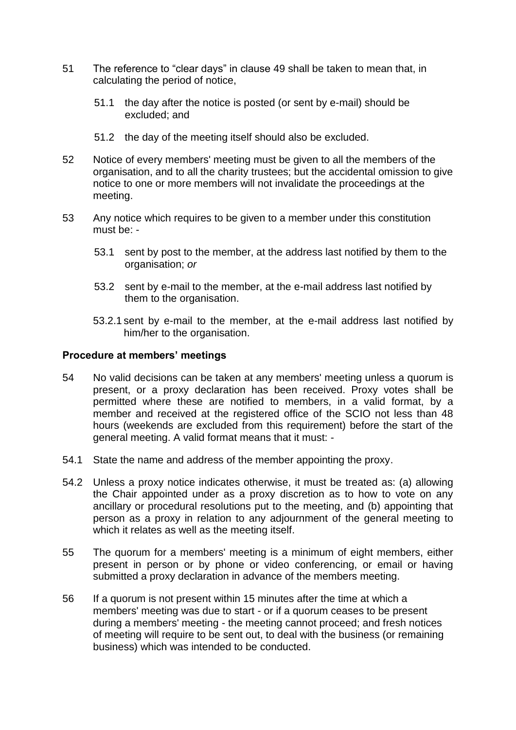- 51 The reference to "clear days" in clause 49 shall be taken to mean that, in calculating the period of notice,
	- 51.1 the day after the notice is posted (or sent by e-mail) should be excluded; and
	- 51.2 the day of the meeting itself should also be excluded.
- 52 Notice of every members' meeting must be given to all the members of the organisation, and to all the charity trustees; but the accidental omission to give notice to one or more members will not invalidate the proceedings at the meeting.
- 53 Any notice which requires to be given to a member under this constitution must be: -
	- 53.1 sent by post to the member, at the address last notified by them to the organisation; *or*
	- 53.2 sent by e-mail to the member, at the e-mail address last notified by them to the organisation.
	- 53.2.1 sent by e-mail to the member, at the e-mail address last notified by him/her to the organisation.

#### **Procedure at members' meetings**

- 54 No valid decisions can be taken at any members' meeting unless a quorum is present, or a proxy declaration has been received. Proxy votes shall be permitted where these are notified to members, in a valid format, by a member and received at the registered office of the SCIO not less than 48 hours (weekends are excluded from this requirement) before the start of the general meeting. A valid format means that it must: -
- 54.1 State the name and address of the member appointing the proxy.
- 54.2 Unless a proxy notice indicates otherwise, it must be treated as: (a) allowing the Chair appointed under as a proxy discretion as to how to vote on any ancillary or procedural resolutions put to the meeting, and (b) appointing that person as a proxy in relation to any adjournment of the general meeting to which it relates as well as the meeting itself.
- 55 The quorum for a members' meeting is a minimum of eight members, either present in person or by phone or video conferencing, or email or having submitted a proxy declaration in advance of the members meeting.
- 56 If a quorum is not present within 15 minutes after the time at which a members' meeting was due to start - or if a quorum ceases to be present during a members' meeting - the meeting cannot proceed; and fresh notices of meeting will require to be sent out, to deal with the business (or remaining business) which was intended to be conducted.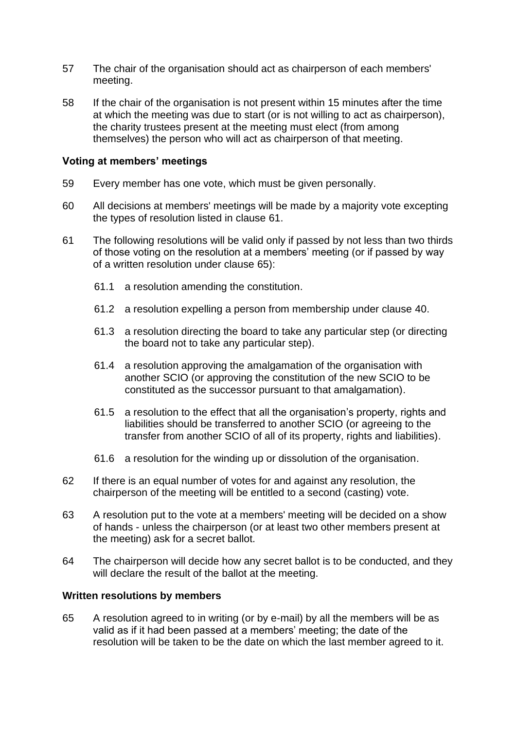- 57 The chair of the organisation should act as chairperson of each members' meeting.
- 58 If the chair of the organisation is not present within 15 minutes after the time at which the meeting was due to start (or is not willing to act as chairperson), the charity trustees present at the meeting must elect (from among themselves) the person who will act as chairperson of that meeting.

#### **Voting at members' meetings**

- 59 Every member has one vote, which must be given personally.
- 60 All decisions at members' meetings will be made by a majority vote excepting the types of resolution listed in clause 61.
- 61 The following resolutions will be valid only if passed by not less than two thirds of those voting on the resolution at a members' meeting (or if passed by way of a written resolution under clause 65):
	- 61.1 a resolution amending the constitution.
	- 61.2 a resolution expelling a person from membership under clause 40.
	- 61.3 a resolution directing the board to take any particular step (or directing the board not to take any particular step).
	- 61.4 a resolution approving the amalgamation of the organisation with another SCIO (or approving the constitution of the new SCIO to be constituted as the successor pursuant to that amalgamation).
	- 61.5 a resolution to the effect that all the organisation's property, rights and liabilities should be transferred to another SCIO (or agreeing to the transfer from another SCIO of all of its property, rights and liabilities).
	- 61.6 a resolution for the winding up or dissolution of the organisation.
- 62 If there is an equal number of votes for and against any resolution, the chairperson of the meeting will be entitled to a second (casting) vote.
- 63 A resolution put to the vote at a members' meeting will be decided on a show of hands - unless the chairperson (or at least two other members present at the meeting) ask for a secret ballot.
- 64 The chairperson will decide how any secret ballot is to be conducted, and they will declare the result of the ballot at the meeting.

#### **Written resolutions by members**

65 A resolution agreed to in writing (or by e-mail) by all the members will be as valid as if it had been passed at a members' meeting; the date of the resolution will be taken to be the date on which the last member agreed to it.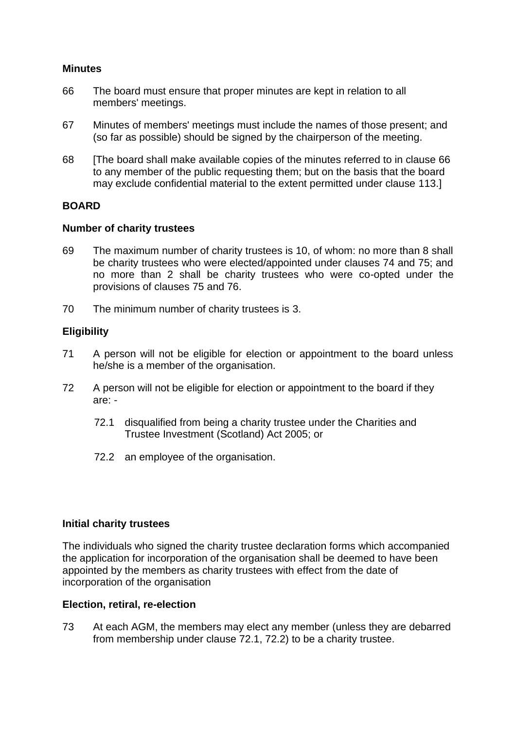# **Minutes**

- 66 The board must ensure that proper minutes are kept in relation to all members' meetings.
- 67 Minutes of members' meetings must include the names of those present; and (so far as possible) should be signed by the chairperson of the meeting.
- 68 [The board shall make available copies of the minutes referred to in clause 66 to any member of the public requesting them; but on the basis that the board may exclude confidential material to the extent permitted under clause 113.]

## **BOARD**

#### **Number of charity trustees**

- 69 The maximum number of charity trustees is 10, of whom: no more than 8 shall be charity trustees who were elected/appointed under clauses 74 and 75; and no more than 2 shall be charity trustees who were co-opted under the provisions of clauses 75 and 76.
- 70 The minimum number of charity trustees is 3.

## **Eligibility**

- 71 A person will not be eligible for election or appointment to the board unless he/she is a member of the organisation.
- 72 A person will not be eligible for election or appointment to the board if they are: -
	- 72.1 disqualified from being a charity trustee under the Charities and Trustee Investment (Scotland) Act 2005; or
	- 72.2 an employee of the organisation.

## **Initial charity trustees**

The individuals who signed the charity trustee declaration forms which accompanied the application for incorporation of the organisation shall be deemed to have been appointed by the members as charity trustees with effect from the date of incorporation of the organisation

#### **Election, retiral, re-election**

73 At each AGM, the members may elect any member (unless they are debarred from membership under clause 72.1, 72.2) to be a charity trustee.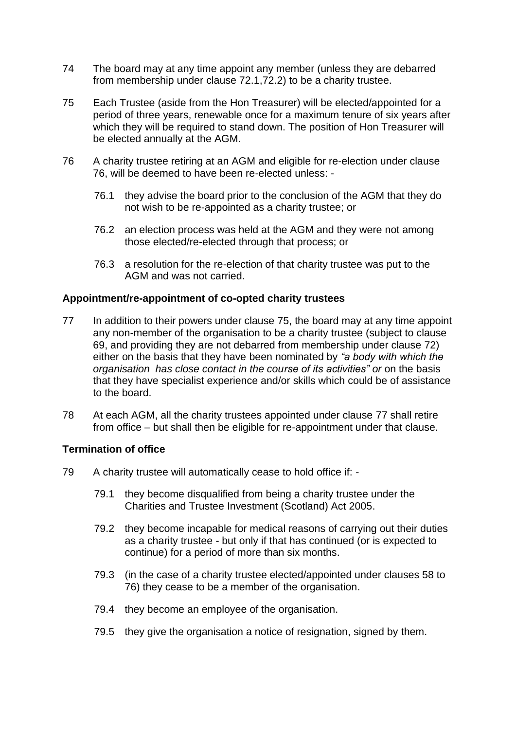- 74 The board may at any time appoint any member (unless they are debarred from membership under clause 72.1,72.2) to be a charity trustee.
- 75 Each Trustee (aside from the Hon Treasurer) will be elected/appointed for a period of three years, renewable once for a maximum tenure of six years after which they will be required to stand down. The position of Hon Treasurer will be elected annually at the AGM.
- 76 A charity trustee retiring at an AGM and eligible for re-election under clause 76, will be deemed to have been re-elected unless: -
	- 76.1 they advise the board prior to the conclusion of the AGM that they do not wish to be re-appointed as a charity trustee; or
	- 76.2 an election process was held at the AGM and they were not among those elected/re-elected through that process; or
	- 76.3 a resolution for the re-election of that charity trustee was put to the AGM and was not carried.

## **Appointment/re-appointment of co-opted charity trustees**

- <span id="page-10-0"></span>77 In addition to their powers under clause 75, the board may at any time appoint any non-member of the organisation to be a charity trustee (subject to clause 69, and providing they are not debarred from membership under clause 72) either on the basis that they have been nominated by *"a body with which the organisation has close contact in the course of its activities" or* on the basis that they have specialist experience and/or skills which could be of assistance to the board.
- 78 At each AGM, all the charity trustees appointed under clause [77](#page-10-0) shall retire from office – but shall then be eligible for re-appointment under that clause.

## **Termination of office**

- 79 A charity trustee will automatically cease to hold office if:
	- 79.1 they become disqualified from being a charity trustee under the Charities and Trustee Investment (Scotland) Act 2005.
	- 79.2 they become incapable for medical reasons of carrying out their duties as a charity trustee - but only if that has continued (or is expected to continue) for a period of more than six months.
	- 79.3 (in the case of a charity trustee elected/appointed under clauses 58 to 76) they cease to be a member of the organisation.
	- 79.4 they become an employee of the organisation.
	- 79.5 they give the organisation a notice of resignation, signed by them.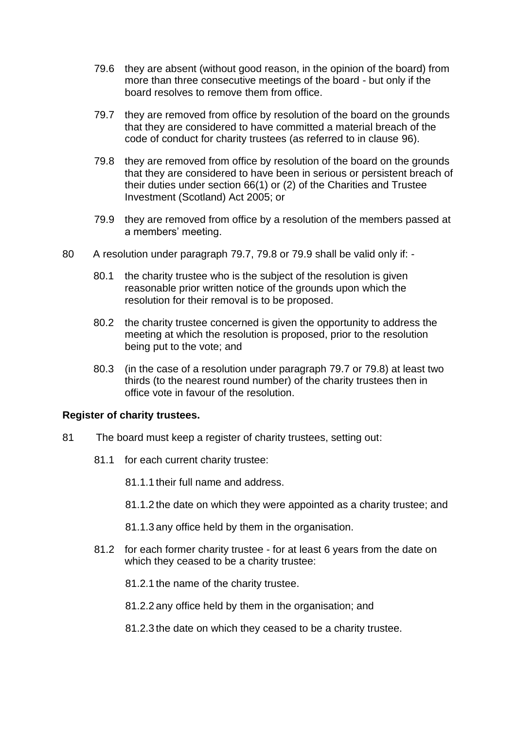- 79.6 they are absent (without good reason, in the opinion of the board) from more than three consecutive meetings of the board - but only if the board resolves to remove them from office.
- 79.7 they are removed from office by resolution of the board on the grounds that they are considered to have committed a material breach of the code of conduct for charity trustees (as referred to in clause 96).
- 79.8 they are removed from office by resolution of the board on the grounds that they are considered to have been in serious or persistent breach of their duties under section 66(1) or (2) of the Charities and Trustee Investment (Scotland) Act 2005; or
- 79.9 they are removed from office by a resolution of the members passed at a members' meeting.
- 80 A resolution under paragraph 79.7, 79.8 or 79.9 shall be valid only if:
	- 80.1 the charity trustee who is the subject of the resolution is given reasonable prior written notice of the grounds upon which the resolution for their removal is to be proposed.
	- 80.2 the charity trustee concerned is given the opportunity to address the meeting at which the resolution is proposed, prior to the resolution being put to the vote; and
	- 80.3 (in the case of a resolution under paragraph 79.7 or 79.8) at least two thirds (to the nearest round number) of the charity trustees then in office vote in favour of the resolution.

#### **Register of charity trustees.**

- 81 The board must keep a register of charity trustees, setting out:
	- 81.1 for each current charity trustee:
		- 81.1.1 their full name and address.
		- 81.1.2 the date on which they were appointed as a charity trustee; and
		- 81.1.3 any office held by them in the organisation.
	- 81.2 for each former charity trustee for at least 6 years from the date on which they ceased to be a charity trustee:
		- 81.2.1 the name of the charity trustee.
		- 81.2.2 any office held by them in the organisation; and
		- 81.2.3 the date on which they ceased to be a charity trustee.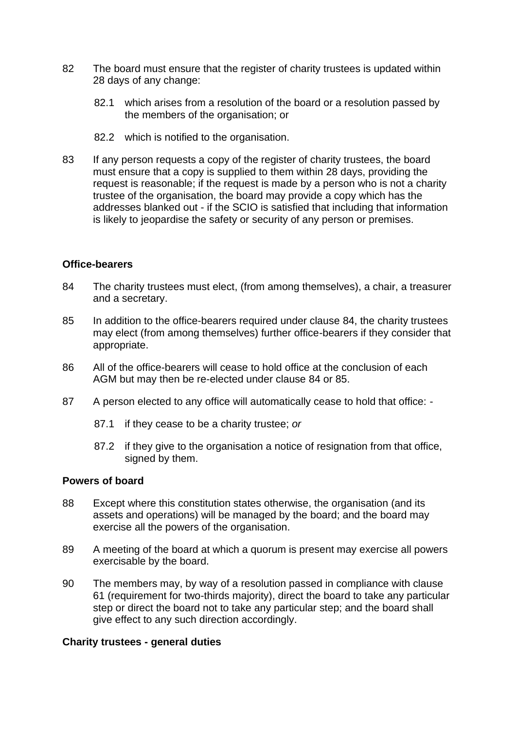- 82 The board must ensure that the register of charity trustees is updated within 28 days of any change:
	- 82.1 which arises from a resolution of the board or a resolution passed by the members of the organisation; or
	- 82.2 which is notified to the organisation.
- 83 If any person requests a copy of the register of charity trustees, the board must ensure that a copy is supplied to them within 28 days, providing the request is reasonable; if the request is made by a person who is not a charity trustee of the organisation, the board may provide a copy which has the addresses blanked out - if the SCIO is satisfied that including that information is likely to jeopardise the safety or security of any person or premises.

#### **Office-bearers**

- 84 The charity trustees must elect, (from among themselves), a chair, a treasurer and a secretary.
- 85 In addition to the office-bearers required under clause 84, the charity trustees may elect (from among themselves) further office-bearers if they consider that appropriate.
- 86 All of the office-bearers will cease to hold office at the conclusion of each AGM but may then be re-elected under clause 84 or 85.
- 87 A person elected to any office will automatically cease to hold that office:
	- 87.1 if they cease to be a charity trustee; *or*
	- 87.2 if they give to the organisation a notice of resignation from that office, signed by them.

### **Powers of board**

- 88 Except where this constitution states otherwise, the organisation (and its assets and operations) will be managed by the board; and the board may exercise all the powers of the organisation.
- 89 A meeting of the board at which a quorum is present may exercise all powers exercisable by the board.
- 90 The members may, by way of a resolution passed in compliance with clause 61 (requirement for two-thirds majority), direct the board to take any particular step or direct the board not to take any particular step; and the board shall give effect to any such direction accordingly.

#### **Charity trustees - general duties**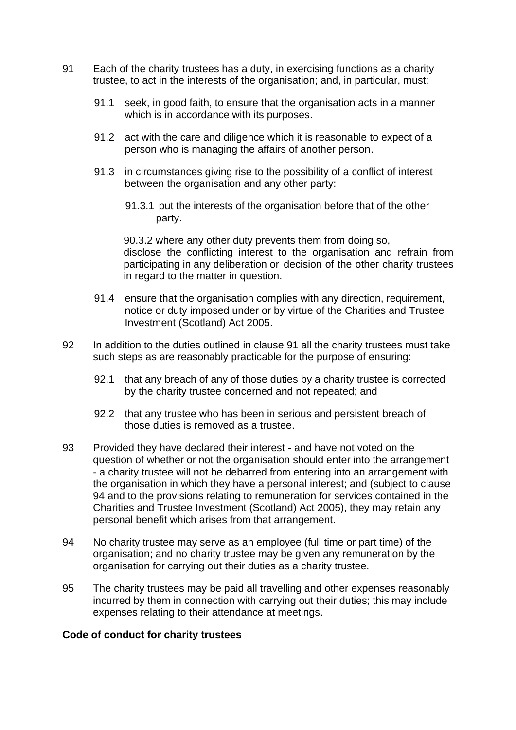- 91 Each of the charity trustees has a duty, in exercising functions as a charity trustee, to act in the interests of the organisation; and, in particular, must:
	- 91.1 seek, in good faith, to ensure that the organisation acts in a manner which is in accordance with its purposes.
	- 91.2 act with the care and diligence which it is reasonable to expect of a person who is managing the affairs of another person.
	- 91.3 in circumstances giving rise to the possibility of a conflict of interest between the organisation and any other party:
		- 91.3.1 put the interests of the organisation before that of the other party.

90.3.2 where any other duty prevents them from doing so, disclose the conflicting interest to the organisation and refrain from participating in any deliberation or decision of the other charity trustees in regard to the matter in question.

- 91.4 ensure that the organisation complies with any direction, requirement, notice or duty imposed under or by virtue of the Charities and Trustee Investment (Scotland) Act 2005.
- 92 In addition to the duties outlined in clause 91 all the charity trustees must take such steps as are reasonably practicable for the purpose of ensuring:
	- 92.1 that any breach of any of those duties by a charity trustee is corrected by the charity trustee concerned and not repeated; and
	- 92.2 that any trustee who has been in serious and persistent breach of those duties is removed as a trustee.
- 93 Provided they have declared their interest and have not voted on the question of whether or not the organisation should enter into the arrangement - a charity trustee will not be debarred from entering into an arrangement with the organisation in which they have a personal interest; and (subject to clause 94 and to the provisions relating to remuneration for services contained in the Charities and Trustee Investment (Scotland) Act 2005), they may retain any personal benefit which arises from that arrangement.
- 94 No charity trustee may serve as an employee (full time or part time) of the organisation; and no charity trustee may be given any remuneration by the organisation for carrying out their duties as a charity trustee.
- 95 The charity trustees may be paid all travelling and other expenses reasonably incurred by them in connection with carrying out their duties; this may include expenses relating to their attendance at meetings.

## **Code of conduct for charity trustees**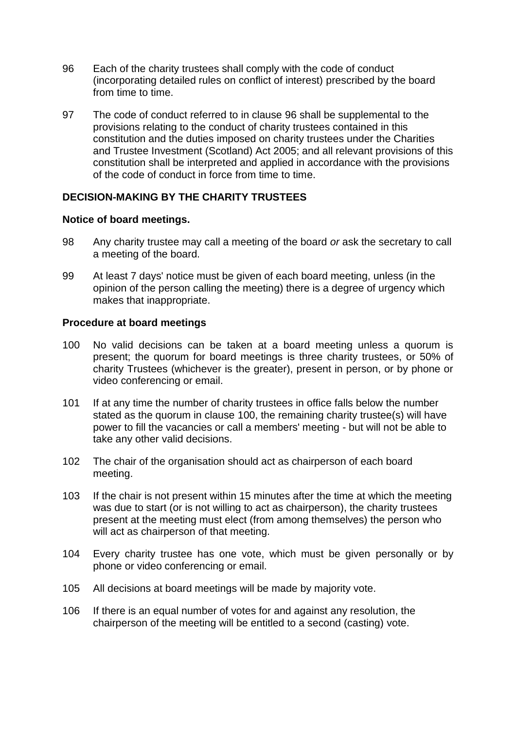- 96 Each of the charity trustees shall comply with the code of conduct (incorporating detailed rules on conflict of interest) prescribed by the board from time to time.
- 97 The code of conduct referred to in clause 96 shall be supplemental to the provisions relating to the conduct of charity trustees contained in this constitution and the duties imposed on charity trustees under the Charities and Trustee Investment (Scotland) Act 2005; and all relevant provisions of this constitution shall be interpreted and applied in accordance with the provisions of the code of conduct in force from time to time.

# **DECISION-MAKING BY THE CHARITY TRUSTEES**

#### **Notice of board meetings.**

- 98 Any charity trustee may call a meeting of the board *or* ask the secretary to call a meeting of the board.
- 99 At least 7 days' notice must be given of each board meeting, unless (in the opinion of the person calling the meeting) there is a degree of urgency which makes that inappropriate.

#### **Procedure at board meetings**

- 100 No valid decisions can be taken at a board meeting unless a quorum is present; the quorum for board meetings is three charity trustees, or 50% of charity Trustees (whichever is the greater), present in person, or by phone or video conferencing or email.
- 101 If at any time the number of charity trustees in office falls below the number stated as the quorum in clause 100, the remaining charity trustee(s) will have power to fill the vacancies or call a members' meeting - but will not be able to take any other valid decisions.
- 102 The chair of the organisation should act as chairperson of each board meeting.
- 103 If the chair is not present within 15 minutes after the time at which the meeting was due to start (or is not willing to act as chairperson), the charity trustees present at the meeting must elect (from among themselves) the person who will act as chairperson of that meeting.
- 104 Every charity trustee has one vote, which must be given personally or by phone or video conferencing or email.
- 105 All decisions at board meetings will be made by majority vote.
- 106 If there is an equal number of votes for and against any resolution, the chairperson of the meeting will be entitled to a second (casting) vote.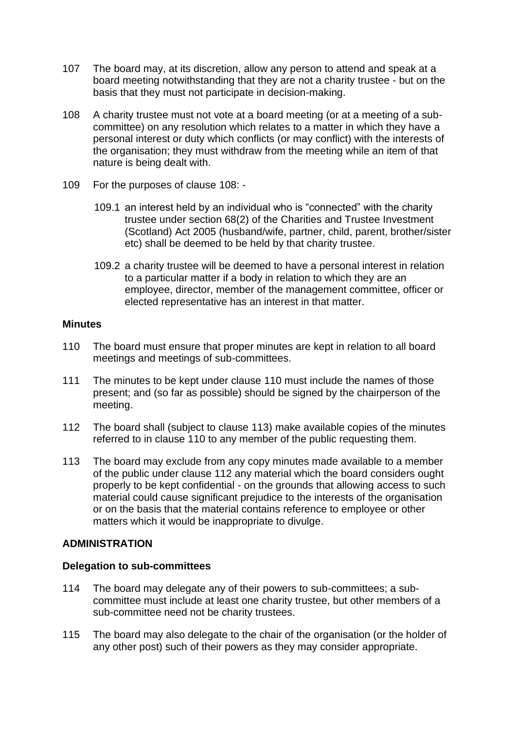- 107 The board may, at its discretion, allow any person to attend and speak at a board meeting notwithstanding that they are not a charity trustee - but on the basis that they must not participate in decision-making.
- 108 A charity trustee must not vote at a board meeting (or at a meeting of a subcommittee) on any resolution which relates to a matter in which they have a personal interest or duty which conflicts (or may conflict) with the interests of the organisation; they must withdraw from the meeting while an item of that nature is being dealt with.
- 109 For the purposes of clause 108:
	- 109.1 an interest held by an individual who is "connected" with the charity trustee under section 68(2) of the Charities and Trustee Investment (Scotland) Act 2005 (husband/wife, partner, child, parent, brother/sister etc) shall be deemed to be held by that charity trustee.
	- 109.2 a charity trustee will be deemed to have a personal interest in relation to a particular matter if a body in relation to which they are an employee, director, member of the management committee, officer or elected representative has an interest in that matter.

## **Minutes**

- 110 The board must ensure that proper minutes are kept in relation to all board meetings and meetings of sub-committees.
- 111 The minutes to be kept under clause 110 must include the names of those present; and (so far as possible) should be signed by the chairperson of the meeting.
- 112 The board shall (subject to clause 113) make available copies of the minutes referred to in clause 110 to any member of the public requesting them.
- 113 The board may exclude from any copy minutes made available to a member of the public under clause 112 any material which the board considers ought properly to be kept confidential - on the grounds that allowing access to such material could cause significant prejudice to the interests of the organisation or on the basis that the material contains reference to employee or other matters which it would be inappropriate to divulge.

## **ADMINISTRATION**

## **Delegation to sub-committees**

- 114 The board may delegate any of their powers to sub-committees; a subcommittee must include at least one charity trustee, but other members of a sub-committee need not be charity trustees.
- 115 The board may also delegate to the chair of the organisation (or the holder of any other post) such of their powers as they may consider appropriate.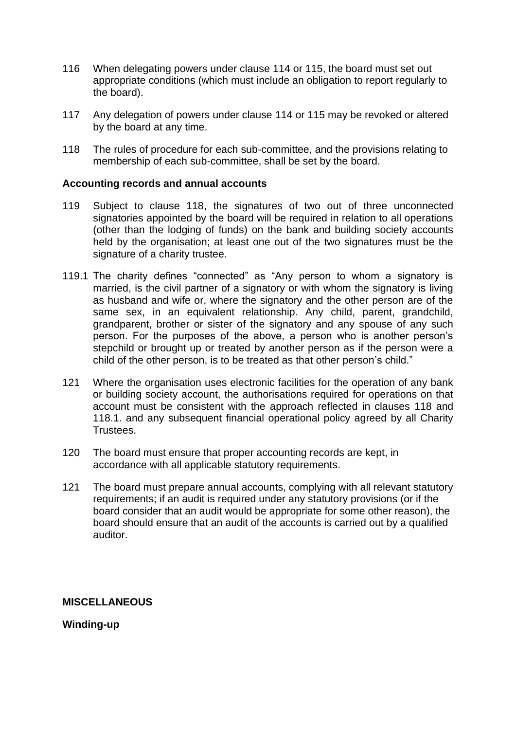- 116 When delegating powers under clause 114 or 115, the board must set out appropriate conditions (which must include an obligation to report regularly to the board).
- 117 Any delegation of powers under clause 114 or 115 may be revoked or altered by the board at any time.
- 118 The rules of procedure for each sub-committee, and the provisions relating to membership of each sub-committee, shall be set by the board.

#### **Accounting records and annual accounts**

- 119 Subject to clause 118, the signatures of two out of three unconnected signatories appointed by the board will be required in relation to all operations (other than the lodging of funds) on the bank and building society accounts held by the organisation; at least one out of the two signatures must be the signature of a charity trustee.
- 119.1 The charity defines "connected" as "Any person to whom a signatory is married, is the civil partner of a signatory or with whom the signatory is living as husband and wife or, where the signatory and the other person are of the same sex, in an equivalent relationship. Any child, parent, grandchild, grandparent, brother or sister of the signatory and any spouse of any such person. For the purposes of the above, a person who is another person's stepchild or brought up or treated by another person as if the person were a child of the other person, is to be treated as that other person's child."
- 121 Where the organisation uses electronic facilities for the operation of any bank or building society account, the authorisations required for operations on that account must be consistent with the approach reflected in clauses 118 and 118.1. and any subsequent financial operational policy agreed by all Charity Trustees.
- 120 The board must ensure that proper accounting records are kept, in accordance with all applicable statutory requirements.
- 121 The board must prepare annual accounts, complying with all relevant statutory requirements; if an audit is required under any statutory provisions (or if the board consider that an audit would be appropriate for some other reason), the board should ensure that an audit of the accounts is carried out by a qualified auditor.

## **MISCELLANEOUS**

**Winding-up**